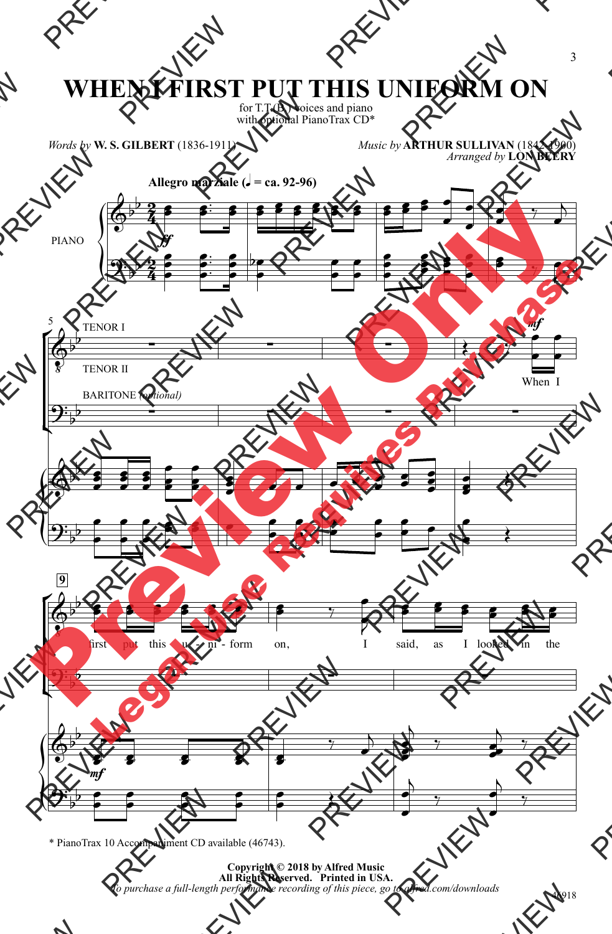## **WHEN I FIRST PUT THIS UNIFORM ON**

for T.T.(B.) voices and piano with optional PianoTrax CD\*

*Words by* **W. S. GILBERT** (1836-1911)

*Music by* **ARTHUR SULLIVAN** (1842-1900) *Arranged by* **LON BEERY**



\* PianoTrax 10 Accompaniment CD available (46743).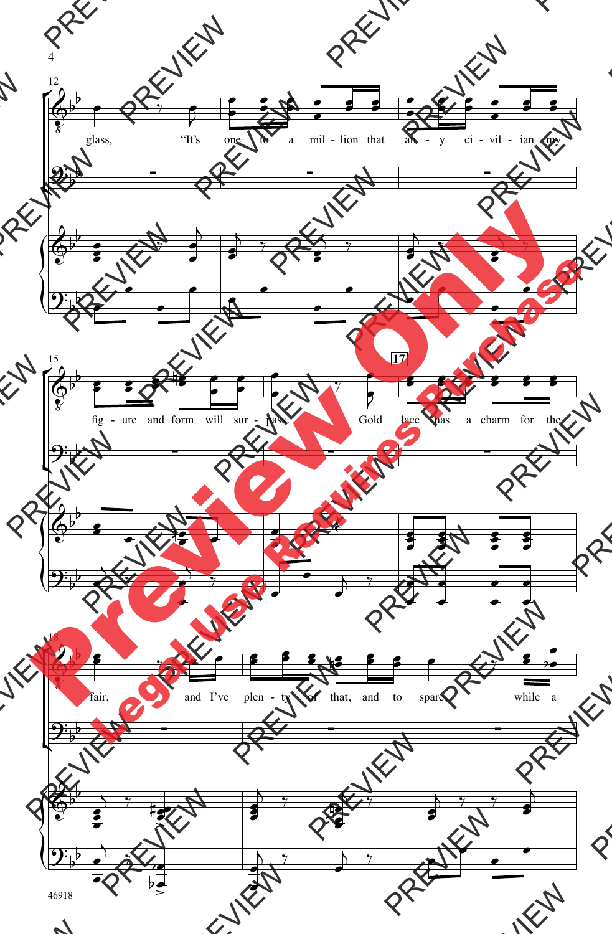

46918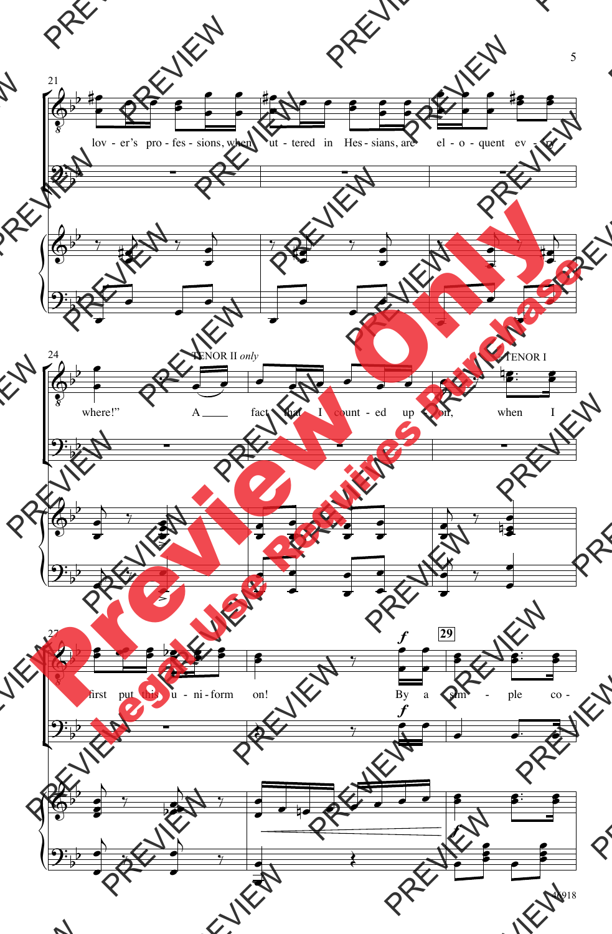

46918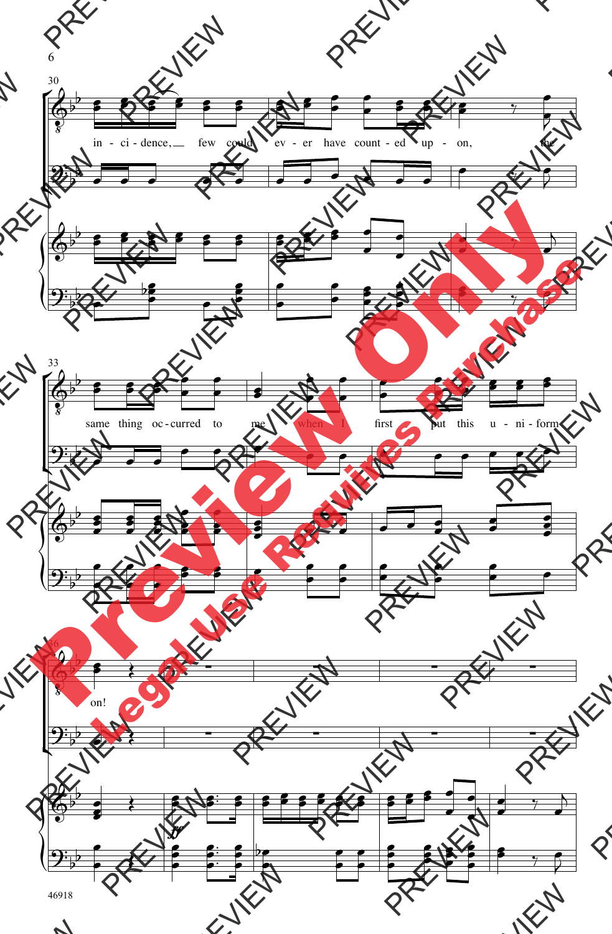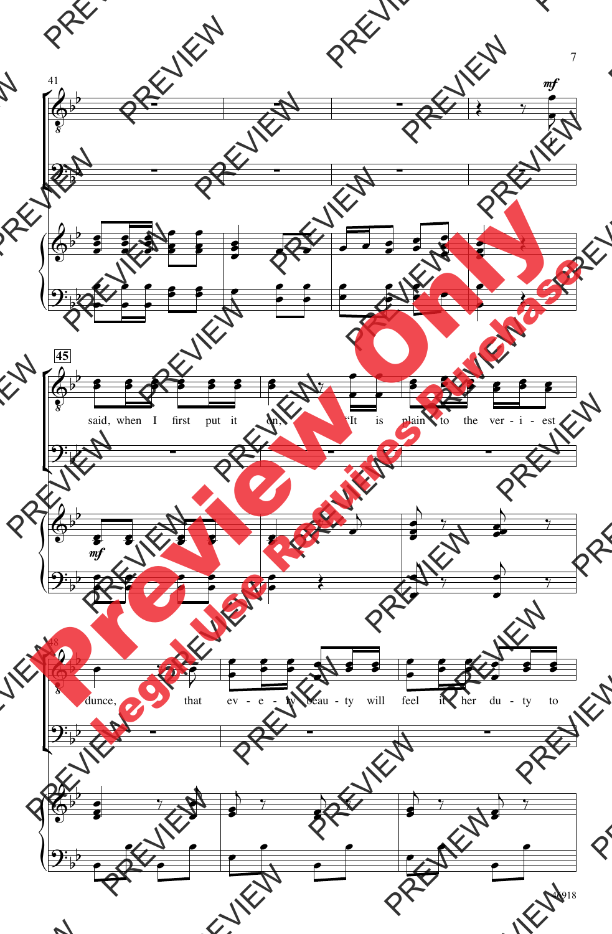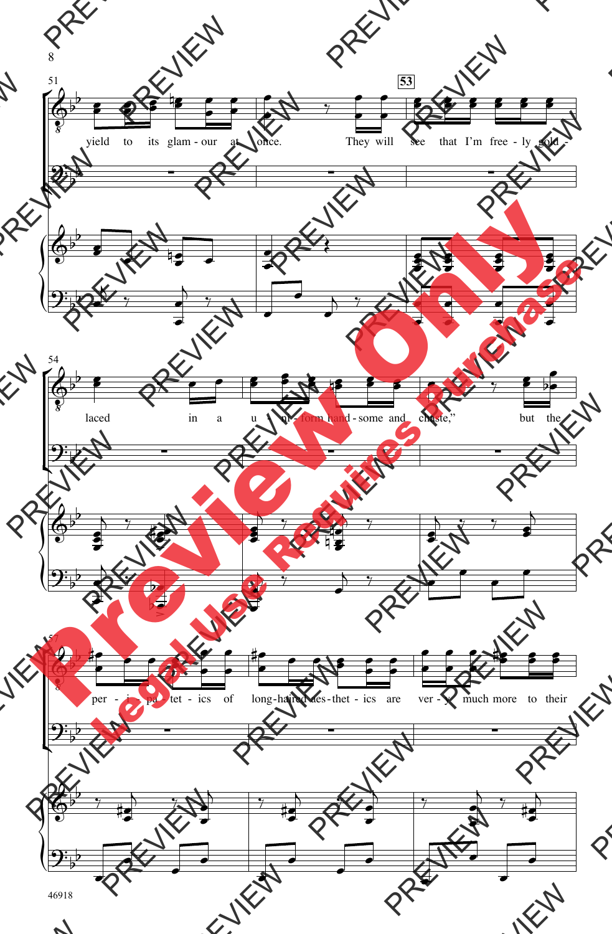

46918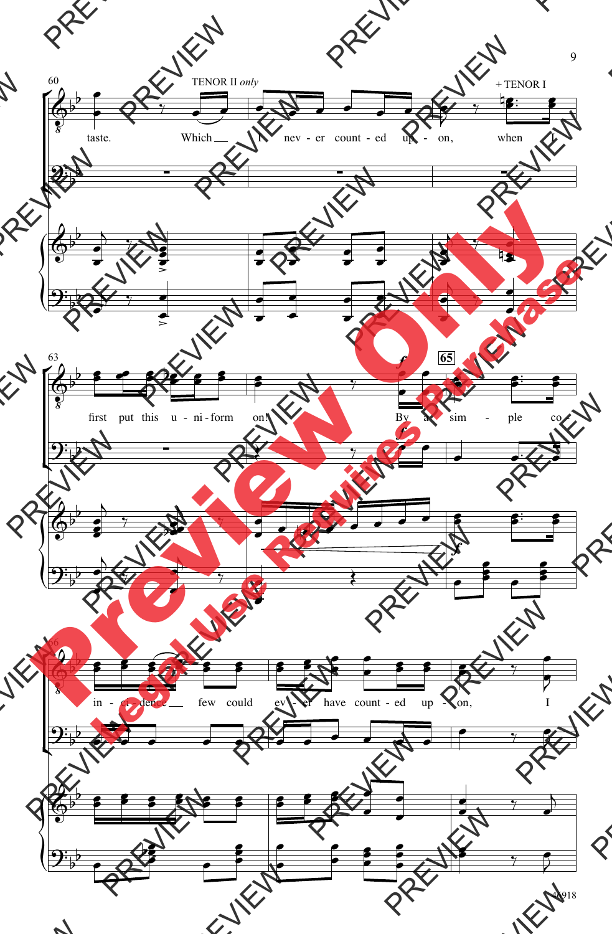